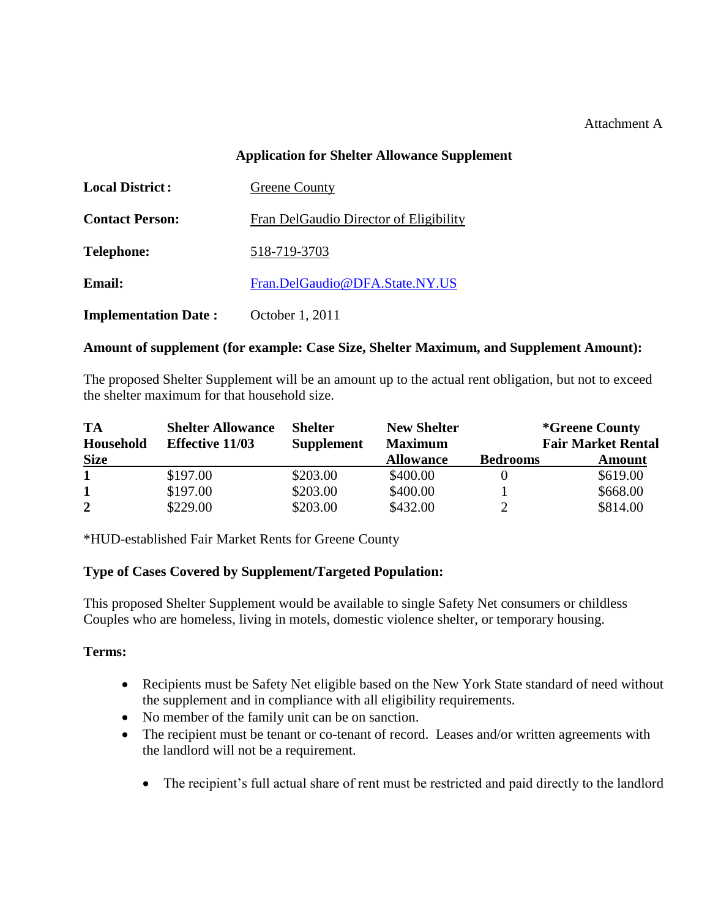### Attachment A

### **Application for Shelter Allowance Supplement**

| <b>Local District:</b>      | <b>Greene County</b>                   |  |
|-----------------------------|----------------------------------------|--|
| <b>Contact Person:</b>      | Fran DelGaudio Director of Eligibility |  |
| <b>Telephone:</b>           | 518-719-3703                           |  |
| <b>Email:</b>               | Fran.DelGaudio@DFA.State.NY.US         |  |
| <b>Implementation Date:</b> | October 1, 2011                        |  |

#### **Amount of supplement (for example: Case Size, Shelter Maximum, and Supplement Amount):**

The proposed Shelter Supplement will be an amount up to the actual rent obligation, but not to exceed the shelter maximum for that household size.

| <b>TA</b><br>Household | <b>Shelter Allowance</b><br><b>Effective 11/03</b> | <b>Shelter</b><br><b>Supplement</b> | <b>New Shelter</b><br><b>Maximum</b> | <i>*Greene County</i><br><b>Fair Market Rental</b> |               |
|------------------------|----------------------------------------------------|-------------------------------------|--------------------------------------|----------------------------------------------------|---------------|
| <b>Size</b>            |                                                    |                                     | <b>Allowance</b>                     | <b>Bedrooms</b>                                    | <b>Amount</b> |
|                        | \$197.00                                           | \$203.00                            | \$400.00                             |                                                    | \$619.00      |
| 1                      | \$197.00                                           | \$203.00                            | \$400.00                             |                                                    | \$668.00      |
| $\overline{2}$         | \$229.00                                           | \$203.00                            | \$432.00                             |                                                    | \$814.00      |

\*HUD-established Fair Market Rents for Greene County

## **Type of Cases Covered by Supplement/Targeted Population:**

This proposed Shelter Supplement would be available to single Safety Net consumers or childless Couples who are homeless, living in motels, domestic violence shelter, or temporary housing.

#### **Terms:**

- Recipients must be Safety Net eligible based on the New York State standard of need without the supplement and in compliance with all eligibility requirements.
- No member of the family unit can be on sanction.
- The recipient must be tenant or co-tenant of record. Leases and/or written agreements with the landlord will not be a requirement.
	- The recipient's full actual share of rent must be restricted and paid directly to the landlord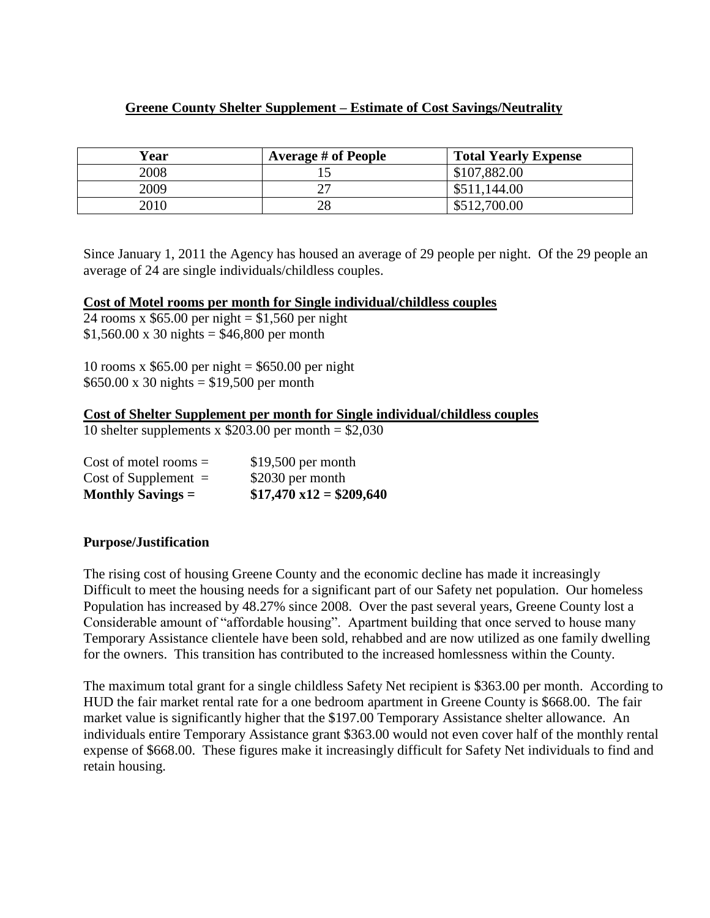## **Greene County Shelter Supplement – Estimate of Cost Savings/Neutrality**

| Year | <b>Average # of People</b> | <b>Total Yearly Expense</b> |
|------|----------------------------|-----------------------------|
| 2008 |                            | \$107,882.00                |
| 2009 |                            | \$511,144.00                |
| 2010 | 28                         | \$512,700.00                |

Since January 1, 2011 the Agency has housed an average of 29 people per night. Of the 29 people an average of 24 are single individuals/childless couples.

#### **Cost of Motel rooms per month for Single individual/childless couples**

24 rooms x  $$65.00$  per night = \$1,560 per night  $$1,560.00 \times 30 \text{ nights} = $46,800 \text{ per month}$ 

10 rooms x  $$65.00$  per night = \$650.00 per night  $$650.00 \times 30 \text{ nights} = $19,500 \text{ per month}$ 

#### **Cost of Shelter Supplement per month for Single individual/childless couples**

10 shelter supplements x  $$203.00$  per month =  $$2,030$ 

| Monthly Savings $=$     | $$17,470 \times 12 = $209,640$ |
|-------------------------|--------------------------------|
| Cost of Supplement $=$  | \$2030 per month               |
| Cost of motel rooms $=$ | $$19,500$ per month            |

#### **Purpose/Justification**

The rising cost of housing Greene County and the economic decline has made it increasingly Difficult to meet the housing needs for a significant part of our Safety net population. Our homeless Population has increased by 48.27% since 2008. Over the past several years, Greene County lost a Considerable amount of "affordable housing". Apartment building that once served to house many Temporary Assistance clientele have been sold, rehabbed and are now utilized as one family dwelling for the owners. This transition has contributed to the increased homlessness within the County.

The maximum total grant for a single childless Safety Net recipient is \$363.00 per month. According to HUD the fair market rental rate for a one bedroom apartment in Greene County is \$668.00. The fair market value is significantly higher that the \$197.00 Temporary Assistance shelter allowance. An individuals entire Temporary Assistance grant \$363.00 would not even cover half of the monthly rental expense of \$668.00. These figures make it increasingly difficult for Safety Net individuals to find and retain housing.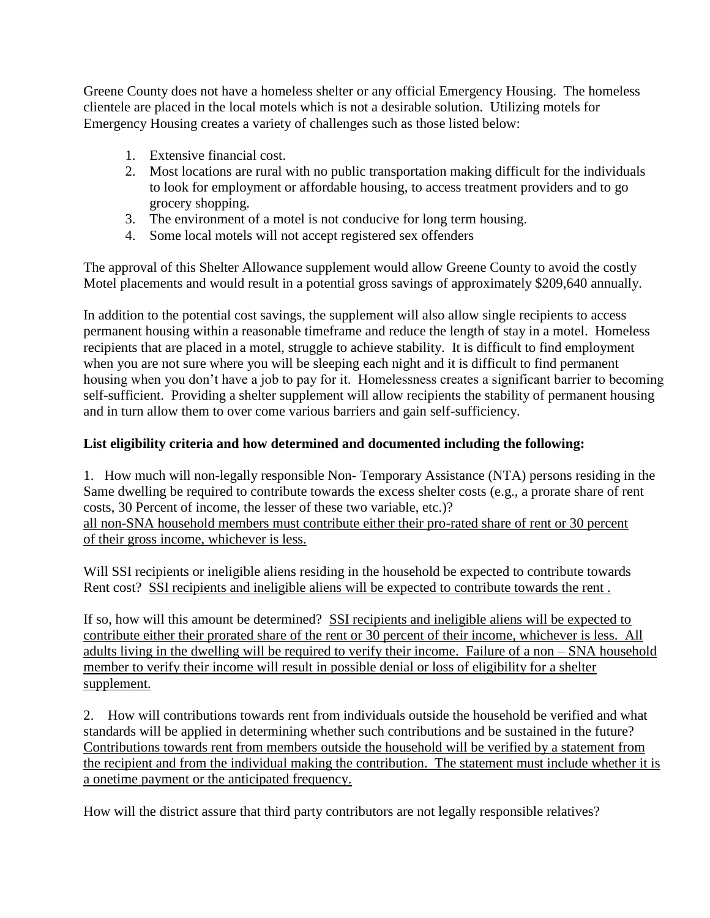Greene County does not have a homeless shelter or any official Emergency Housing. The homeless clientele are placed in the local motels which is not a desirable solution. Utilizing motels for Emergency Housing creates a variety of challenges such as those listed below:

- 1. Extensive financial cost.
- 2. Most locations are rural with no public transportation making difficult for the individuals to look for employment or affordable housing, to access treatment providers and to go grocery shopping.
- 3. The environment of a motel is not conducive for long term housing.
- 4. Some local motels will not accept registered sex offenders

The approval of this Shelter Allowance supplement would allow Greene County to avoid the costly Motel placements and would result in a potential gross savings of approximately \$209,640 annually.

In addition to the potential cost savings, the supplement will also allow single recipients to access permanent housing within a reasonable timeframe and reduce the length of stay in a motel. Homeless recipients that are placed in a motel, struggle to achieve stability. It is difficult to find employment when you are not sure where you will be sleeping each night and it is difficult to find permanent housing when you don't have a job to pay for it. Homelessness creates a significant barrier to becoming self-sufficient. Providing a shelter supplement will allow recipients the stability of permanent housing and in turn allow them to over come various barriers and gain self-sufficiency.

# **List eligibility criteria and how determined and documented including the following:**

1. How much will non-legally responsible Non- Temporary Assistance (NTA) persons residing in the Same dwelling be required to contribute towards the excess shelter costs (e.g., a prorate share of rent costs, 30 Percent of income, the lesser of these two variable, etc.)? all non-SNA household members must contribute either their pro-rated share of rent or 30 percent of their gross income, whichever is less.

Will SSI recipients or ineligible aliens residing in the household be expected to contribute towards Rent cost? SSI recipients and ineligible aliens will be expected to contribute towards the rent .

If so, how will this amount be determined? SSI recipients and ineligible aliens will be expected to contribute either their prorated share of the rent or 30 percent of their income, whichever is less. All adults living in the dwelling will be required to verify their income. Failure of a non – SNA household member to verify their income will result in possible denial or loss of eligibility for a shelter supplement.

2. How will contributions towards rent from individuals outside the household be verified and what standards will be applied in determining whether such contributions and be sustained in the future? Contributions towards rent from members outside the household will be verified by a statement from the recipient and from the individual making the contribution. The statement must include whether it is a onetime payment or the anticipated frequency.

How will the district assure that third party contributors are not legally responsible relatives?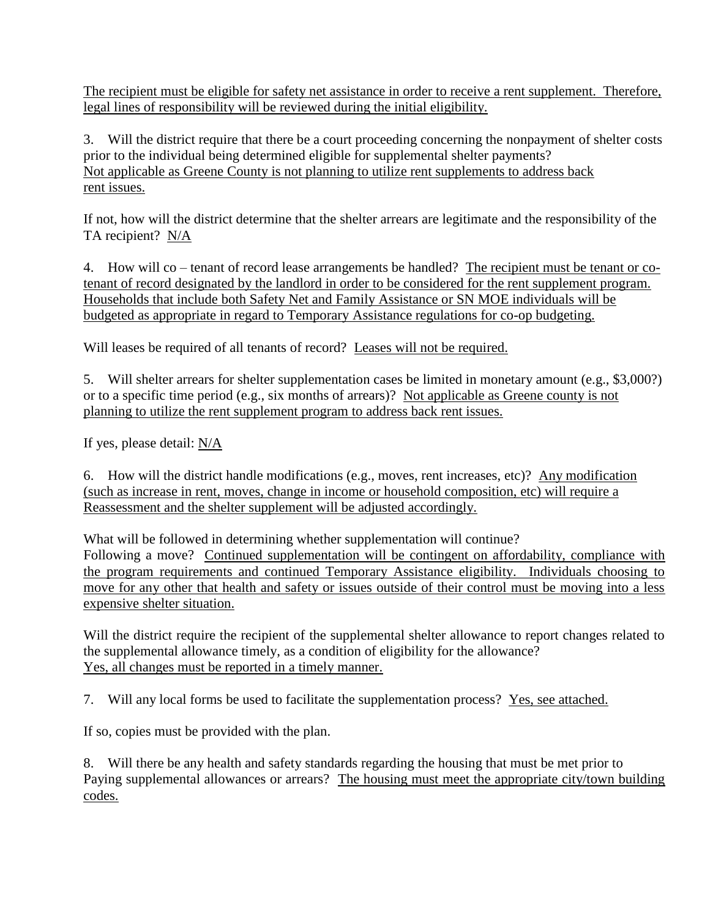The recipient must be eligible for safety net assistance in order to receive a rent supplement. Therefore, legal lines of responsibility will be reviewed during the initial eligibility.

3. Will the district require that there be a court proceeding concerning the nonpayment of shelter costs prior to the individual being determined eligible for supplemental shelter payments? Not applicable as Greene County is not planning to utilize rent supplements to address back rent issues.

If not, how will the district determine that the shelter arrears are legitimate and the responsibility of the TA recipient? N/A

4. How will co – tenant of record lease arrangements be handled? The recipient must be tenant or cotenant of record designated by the landlord in order to be considered for the rent supplement program. Households that include both Safety Net and Family Assistance or SN MOE individuals will be budgeted as appropriate in regard to Temporary Assistance regulations for co-op budgeting.

Will leases be required of all tenants of record? Leases will not be required.

5. Will shelter arrears for shelter supplementation cases be limited in monetary amount (e.g., \$3,000?) or to a specific time period (e.g., six months of arrears)? Not applicable as Greene county is not planning to utilize the rent supplement program to address back rent issues.

If yes, please detail: N/A

6. How will the district handle modifications (e.g., moves, rent increases, etc)? Any modification (such as increase in rent, moves, change in income or household composition, etc) will require a Reassessment and the shelter supplement will be adjusted accordingly.

What will be followed in determining whether supplementation will continue? Following a move? Continued supplementation will be contingent on affordability, compliance with the program requirements and continued Temporary Assistance eligibility. Individuals choosing to move for any other that health and safety or issues outside of their control must be moving into a less expensive shelter situation.

Will the district require the recipient of the supplemental shelter allowance to report changes related to the supplemental allowance timely, as a condition of eligibility for the allowance? Yes, all changes must be reported in a timely manner.

7. Will any local forms be used to facilitate the supplementation process? Yes, see attached.

If so, copies must be provided with the plan.

8. Will there be any health and safety standards regarding the housing that must be met prior to Paying supplemental allowances or arrears? The housing must meet the appropriate city/town building codes.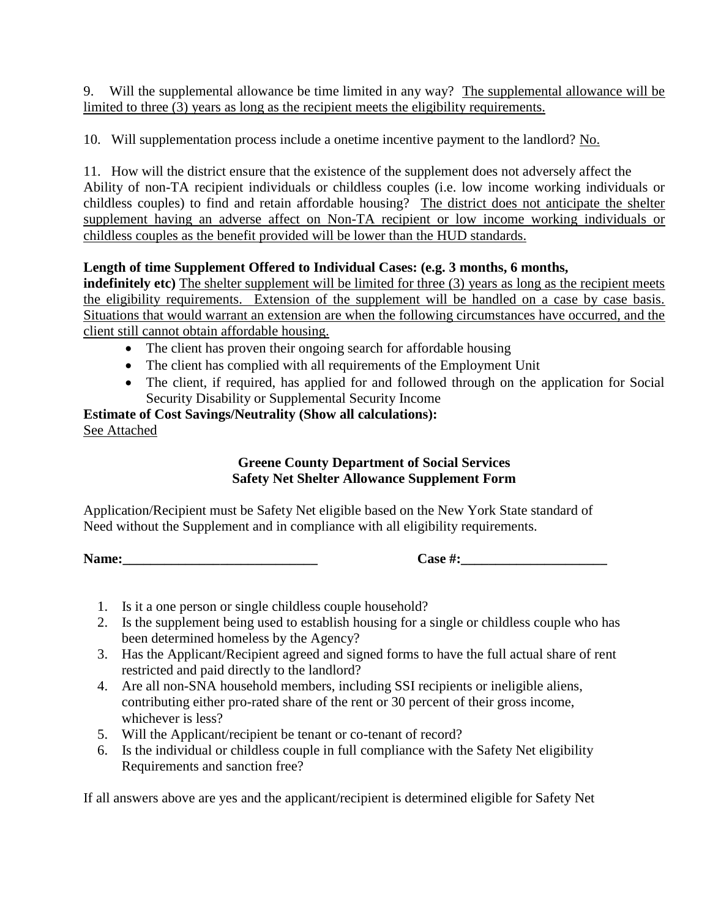9. Will the supplemental allowance be time limited in any way? The supplemental allowance will be limited to three (3) years as long as the recipient meets the eligibility requirements.

10. Will supplementation process include a onetime incentive payment to the landlord? No.

11. How will the district ensure that the existence of the supplement does not adversely affect the Ability of non-TA recipient individuals or childless couples (i.e. low income working individuals or childless couples) to find and retain affordable housing? The district does not anticipate the shelter supplement having an adverse affect on Non-TA recipient or low income working individuals or childless couples as the benefit provided will be lower than the HUD standards.

## **Length of time Supplement Offered to Individual Cases: (e.g. 3 months, 6 months,**

**indefinitely etc)** The shelter supplement will be limited for three (3) years as long as the recipient meets the eligibility requirements. Extension of the supplement will be handled on a case by case basis. Situations that would warrant an extension are when the following circumstances have occurred, and the client still cannot obtain affordable housing.

- The client has proven their ongoing search for affordable housing
- The client has complied with all requirements of the Employment Unit
- The client, if required, has applied for and followed through on the application for Social Security Disability or Supplemental Security Income

# **Estimate of Cost Savings/Neutrality (Show all calculations):** See Attached

## **Greene County Department of Social Services Safety Net Shelter Allowance Supplement Form**

Application/Recipient must be Safety Net eligible based on the New York State standard of Need without the Supplement and in compliance with all eligibility requirements.

**Name:\_\_\_\_\_\_\_\_\_\_\_\_\_\_\_\_\_\_\_\_\_\_\_\_\_\_\_\_ Case #:\_\_\_\_\_\_\_\_\_\_\_\_\_\_\_\_\_\_\_\_\_**

- 1. Is it a one person or single childless couple household?
- 2. Is the supplement being used to establish housing for a single or childless couple who has been determined homeless by the Agency?
- 3. Has the Applicant/Recipient agreed and signed forms to have the full actual share of rent restricted and paid directly to the landlord?
- 4. Are all non-SNA household members, including SSI recipients or ineligible aliens, contributing either pro-rated share of the rent or 30 percent of their gross income, whichever is less?
- 5. Will the Applicant/recipient be tenant or co-tenant of record?
- 6. Is the individual or childless couple in full compliance with the Safety Net eligibility Requirements and sanction free?

If all answers above are yes and the applicant/recipient is determined eligible for Safety Net